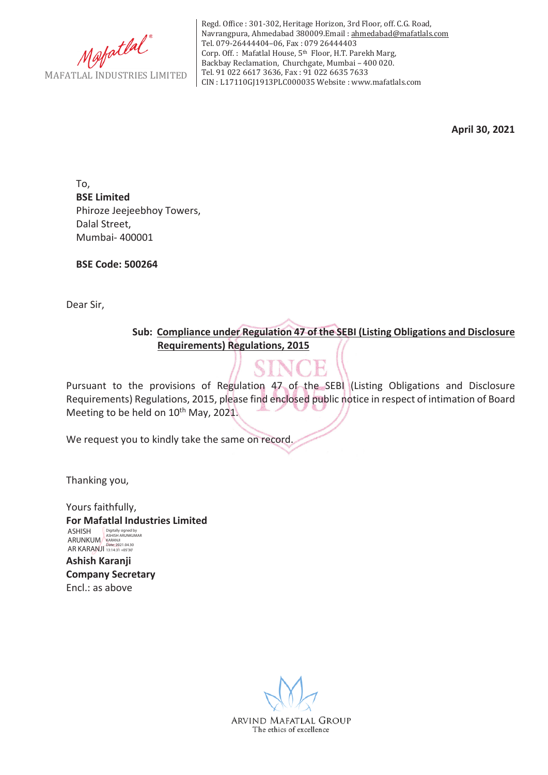

Regd. Office : 301-302, Heritage Horizon, 3rd Floor, off. C.G. Road, Navrangpura, Ahmedabad 380009.Email : ahmedabad@mafatlals.com Tel. 079-26444404–06, Fax : 079 26444403 Corp. Off. : Mafatlal House, 5th Floor, H.T. Parekh Marg, Backbay Reclamation, Churchgate, Mumbai – 400 020. Tel. 91 022 6617 3636, Fax : 91 022 6635 7633 CIN : L17110GJ1913PLC000035 Website : www.mafatlals.com

**April 30, 2021**

To, **BSE Limited** Phiroze Jeejeebhoy Towers, Dalal Street, Mumbai- 400001

**BSE Code: 500264**

Dear Sir,

**Sub:Compliance under Regulation 47 of the SEBI (Listing Obligations and Disclosure Requirements) Regulations, 2015**

Pursuant to the provisions of Regulation 47 of the SEBI (Listing Obligations and Disclosure Requirements) Regulations, 2015, please find enclosed public notice in respect of intimation of Board Meeting to be held on 10<sup>th</sup> May, 2021.

We request you to kindly take the same on record.

Thanking you,

Yours faithfully, **For Mafatlal Industries Limited Ashish Karanji Company Secretary** Encl.: as above ASHISH ARUNKUM AR KARANJI Digitally signed by ASHISH ARUNKUMAR KARANJI Date: 2021.04.30 13:14:31 +05'30'

> ARVIND MAFATLAL GROUP The ethics of excellence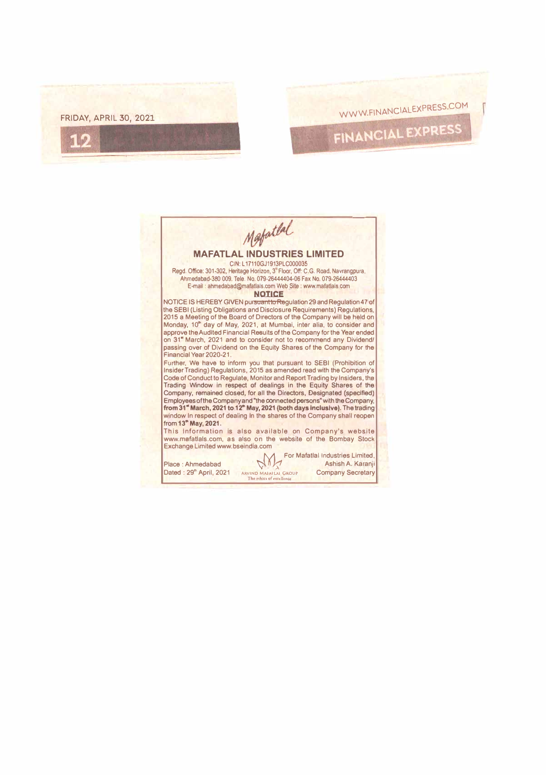

## **MAFATLAL INDUSTRIES LIMITED**  CIN: L 17110GJ1913PLC000035 Regd. Office: 301-302, Heritage Horizon, 3"Floor, Off: C.G. Road. Navrangpura, Ahmedabad-380 009. Tele. No. 079-26444404-06 Fax No. 079-26444403 E-mail : ahmedabad@mafallals.com Web Site : www.mafallals.com **NOTICE**  NOTICE IS HEREBY GIVEN pursuant to Regulation 29 and Regulation 47 of the SEBI (Listing Obligations and Disclosure Requirements) Regulations, 2015 a Meeting of the Board of Directors of the Company will be held on Monday, 10• day of May, 2021, at Mumbai, Inter alia, to consider and approve the Audited Financial Results of the Company for the Year ended on 31" March, 2021 and to consider not to recommend any Dividend/ passing over of Dividend on the Equity Shares of the Company for the Financial Year 2020-21 . Further, We have to inform you that pursuant to SEBI (Prohibition of Insider Trading) Regulations, 2015 as amended read with the Company's Code of Conduct to Regulate, Monitor and Report Trading by Insiders, tha Trading Window in respect of dealings in the Equity Shares of the Company, remained closed, for all the Directors, Designated (specified) Employees of the Company and ''the connected persons" with the Company, **from 31" March, 2021 to 12"' May, 2021 (both days Inclusive).** The trading window In respect of dealing In the shares of the Company shall reopen from **<sup>13</sup>" May, 2021.**  This Information is also available on Company's website www.mefatlals.com, as also on the website of the Bombay Stock Exchange Limited www.bseindia.com

Place : Ahmedabad '\?\ O *))!* Ashlsh A. Karanji Dated:  $29°$  April, 2021 Tho eihics of ex

For Mafatlal Industries Limited,